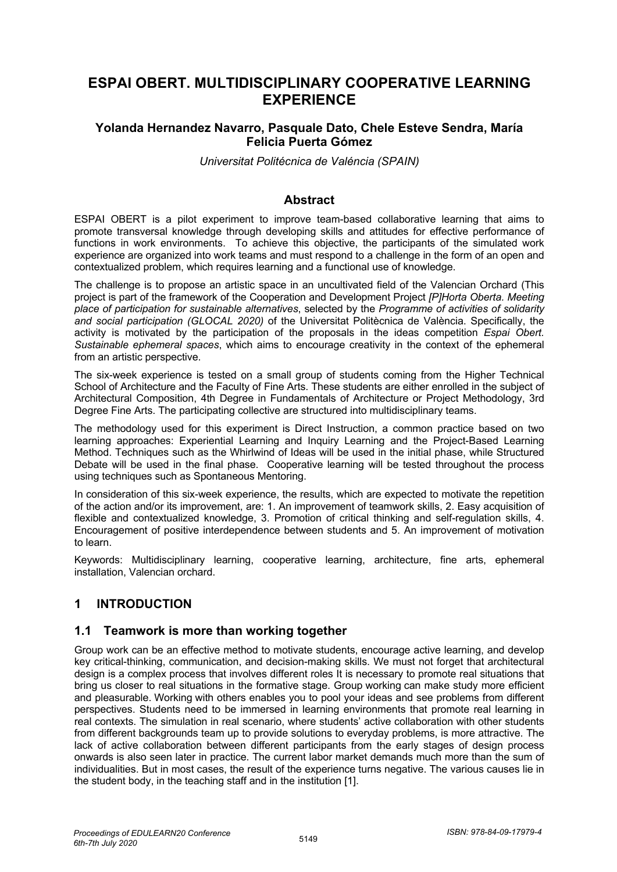# **ESPAI OBERT. MULTIDISCIPLINARY COOPERATIVE LEARNING EXPERIENCE**

### **Yolanda Hernandez Navarro, Pasquale Dato, Chele Esteve Sendra, María Felicia Puerta Gómez**

*Universitat Politécnica de Valéncia (SPAIN)*

#### **Abstract**

ESPAI OBERT is a pilot experiment to improve team-based collaborative learning that aims to promote transversal knowledge through developing skills and attitudes for effective performance of functions in work environments. To achieve this objective, the participants of the simulated work experience are organized into work teams and must respond to a challenge in the form of an open and contextualized problem, which requires learning and a functional use of knowledge.

The challenge is to propose an artistic space in an uncultivated field of the Valencian Orchard (This project is part of the framework of the Cooperation and Development Project *[P]Horta Oberta. Meeting place of participation for sustainable alternatives*, selected by the *Programme of activities of solidarity and social participation (GLOCAL 2020)* of the Universitat Politècnica de València. Specifically, the activity is motivated by the participation of the proposals in the ideas competition *Espai Obert. Sustainable ephemeral spaces*, which aims to encourage creativity in the context of the ephemeral from an artistic perspective.

The six-week experience is tested on a small group of students coming from the Higher Technical School of Architecture and the Faculty of Fine Arts. These students are either enrolled in the subject of Architectural Composition, 4th Degree in Fundamentals of Architecture or Project Methodology, 3rd Degree Fine Arts. The participating collective are structured into multidisciplinary teams.

The methodology used for this experiment is Direct Instruction, a common practice based on two learning approaches: Experiential Learning and Inquiry Learning and the Project-Based Learning Method. Techniques such as the Whirlwind of Ideas will be used in the initial phase, while Structured Debate will be used in the final phase. Cooperative learning will be tested throughout the process using techniques such as Spontaneous Mentoring.

In consideration of this six-week experience, the results, which are expected to motivate the repetition of the action and/or its improvement, are: 1. An improvement of teamwork skills, 2. Easy acquisition of flexible and contextualized knowledge, 3. Promotion of critical thinking and self-regulation skills, 4. Encouragement of positive interdependence between students and 5. An improvement of motivation to learn.

Keywords: Multidisciplinary learning, cooperative learning, architecture, fine arts, ephemeral installation, Valencian orchard.

## **1 INTRODUCTION**

#### **1.1 Teamwork is more than working together**

Group work can be an effective method to motivate students, encourage active learning, and develop key critical-thinking, communication, and decision-making skills. We must not forget that architectural design is a complex process that involves different roles It is necessary to promote real situations that bring us closer to real situations in the formative stage. Group working can make study more efficient and pleasurable. Working with others enables you to pool your ideas and see problems from different perspectives. Students need to be immersed in learning environments that promote real learning in real contexts. The simulation in real scenario, where students' active collaboration with other students from different backgrounds team up to provide solutions to everyday problems, is more attractive. The lack of active collaboration between different participants from the early stages of design process onwards is also seen later in practice. The current labor market demands much more than the sum of individualities. But in most cases, the result of the experience turns negative. The various causes lie in the student body, in the teaching staff and in the institution [1].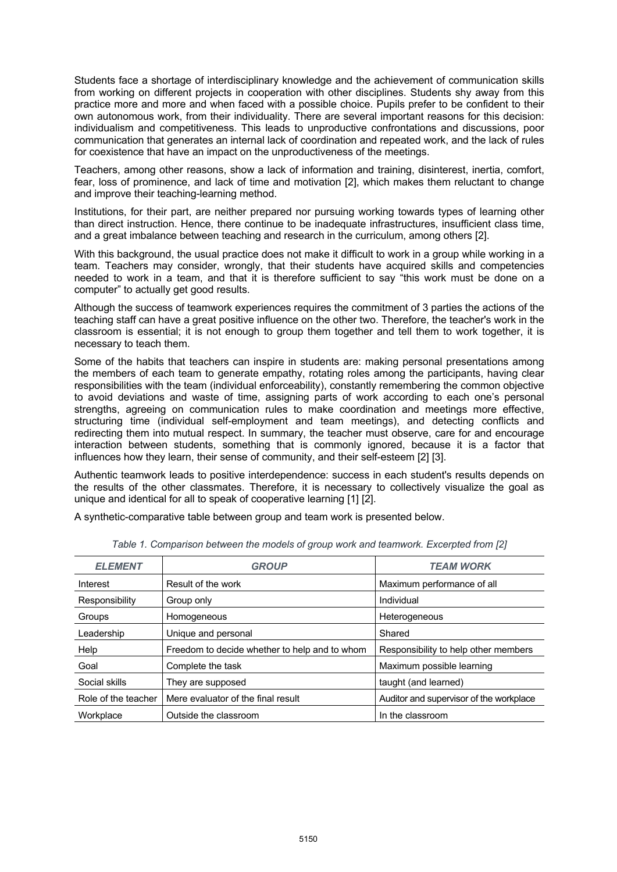Students face a shortage of interdisciplinary knowledge and the achievement of communication skills from working on different projects in cooperation with other disciplines. Students shy away from this practice more and more and when faced with a possible choice. Pupils prefer to be confident to their own autonomous work, from their individuality. There are several important reasons for this decision: individualism and competitiveness. This leads to unproductive confrontations and discussions, poor communication that generates an internal lack of coordination and repeated work, and the lack of rules for coexistence that have an impact on the unproductiveness of the meetings.

Teachers, among other reasons, show a lack of information and training, disinterest, inertia, comfort, fear, loss of prominence, and lack of time and motivation [2], which makes them reluctant to change and improve their teaching-learning method.

Institutions, for their part, are neither prepared nor pursuing working towards types of learning other than direct instruction. Hence, there continue to be inadequate infrastructures, insufficient class time, and a great imbalance between teaching and research in the curriculum, among others [2].

With this background, the usual practice does not make it difficult to work in a group while working in a team. Teachers may consider, wrongly, that their students have acquired skills and competencies needed to work in a team, and that it is therefore sufficient to say "this work must be done on a computer" to actually get good results.

Although the success of teamwork experiences requires the commitment of 3 parties the actions of the teaching staff can have a great positive influence on the other two. Therefore, the teacher's work in the classroom is essential; it is not enough to group them together and tell them to work together, it is necessary to teach them.

Some of the habits that teachers can inspire in students are: making personal presentations among the members of each team to generate empathy, rotating roles among the participants, having clear responsibilities with the team (individual enforceability), constantly remembering the common objective to avoid deviations and waste of time, assigning parts of work according to each one's personal strengths, agreeing on communication rules to make coordination and meetings more effective, structuring time (individual self-employment and team meetings), and detecting conflicts and redirecting them into mutual respect. In summary, the teacher must observe, care for and encourage interaction between students, something that is commonly ignored, because it is a factor that influences how they learn, their sense of community, and their self-esteem [2] [3].

Authentic teamwork leads to positive interdependence: success in each student's results depends on the results of the other classmates. Therefore, it is necessary to collectively visualize the goal as unique and identical for all to speak of cooperative learning [1] [2].

A synthetic-comparative table between group and team work is presented below.

| <b>ELEMENT</b>      | <b>GROUP</b>                                  | <b>TEAM WORK</b>                        |
|---------------------|-----------------------------------------------|-----------------------------------------|
| Interest            | Result of the work                            | Maximum performance of all              |
| Responsibility      | Group only                                    | Individual                              |
| Groups              | Homogeneous                                   | Heterogeneous                           |
| Leadership          | Unique and personal                           | Shared                                  |
| Help                | Freedom to decide whether to help and to whom | Responsibility to help other members    |
| Goal                | Complete the task                             | Maximum possible learning               |
| Social skills       | They are supposed                             | taught (and learned)                    |
| Role of the teacher | Mere evaluator of the final result            | Auditor and supervisor of the workplace |
| Workplace           | Outside the classroom                         | In the classroom                        |

*Table 1. Comparison between the models of group work and teamwork. Excerpted from [2]*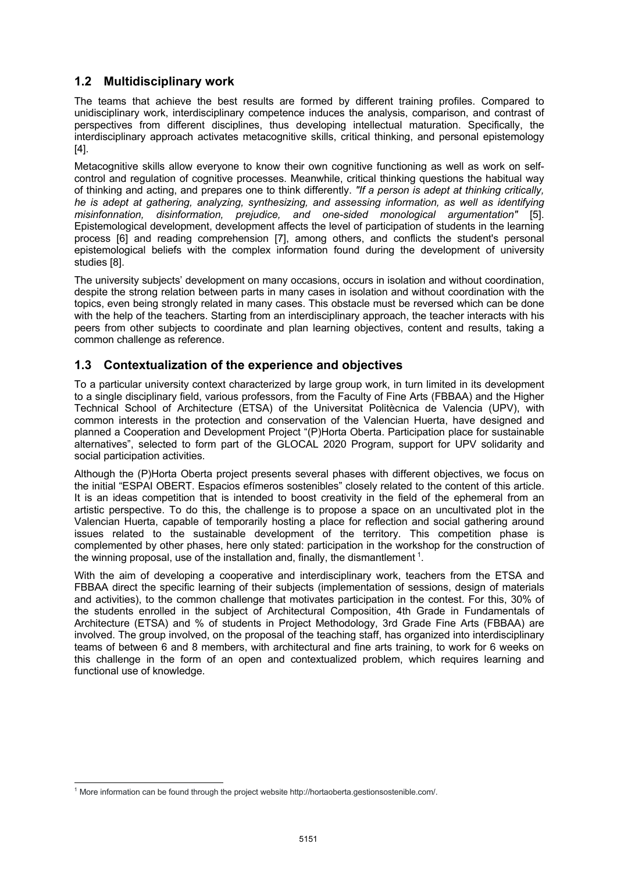## **1.2 Multidisciplinary work**

The teams that achieve the best results are formed by different training profiles. Compared to unidisciplinary work, interdisciplinary competence induces the analysis, comparison, and contrast of perspectives from different disciplines, thus developing intellectual maturation. Specifically, the interdisciplinary approach activates metacognitive skills, critical thinking, and personal epistemology [4].

Metacognitive skills allow everyone to know their own cognitive functioning as well as work on selfcontrol and regulation of cognitive processes. Meanwhile, critical thinking questions the habitual way of thinking and acting, and prepares one to think differently. *"If a person is adept at thinking critically, he is adept at gathering, analyzing, synthesizing, and assessing information, as well as identifying misinfonnation, disinformation, prejudice, and one-sided monological argumentation"* [5]. Epistemological development, development affects the level of participation of students in the learning process [6] and reading comprehension [7], among others, and conflicts the student's personal epistemological beliefs with the complex information found during the development of university studies [8].

The university subjects' development on many occasions, occurs in isolation and without coordination, despite the strong relation between parts in many cases in isolation and without coordination with the topics, even being strongly related in many cases. This obstacle must be reversed which can be done with the help of the teachers. Starting from an interdisciplinary approach, the teacher interacts with his peers from other subjects to coordinate and plan learning objectives, content and results, taking a common challenge as reference.

### **1.3 Contextualization of the experience and objectives**

To a particular university context characterized by large group work, in turn limited in its development to a single disciplinary field, various professors, from the Faculty of Fine Arts (FBBAA) and the Higher Technical School of Architecture (ETSA) of the Universitat Politècnica de Valencia (UPV), with common interests in the protection and conservation of the Valencian Huerta, have designed and planned a Cooperation and Development Project "(P)Horta Oberta. Participation place for sustainable alternatives", selected to form part of the GLOCAL 2020 Program, support for UPV solidarity and social participation activities.

Although the (P)Horta Oberta project presents several phases with different objectives, we focus on the initial "ESPAI OBERT. Espacios efímeros sostenibles" closely related to the content of this article. It is an ideas competition that is intended to boost creativity in the field of the ephemeral from an artistic perspective. To do this, the challenge is to propose a space on an uncultivated plot in the Valencian Huerta, capable of temporarily hosting a place for reflection and social gathering around issues related to the sustainable development of the territory. This competition phase is complemented by other phases, here only stated: participation in the workshop for the construction of the winning proposal, use of the installation and, finally, the dismantlement  $1$ .

With the aim of developing a cooperative and interdisciplinary work, teachers from the ETSA and FBBAA direct the specific learning of their subjects (implementation of sessions, design of materials and activities), to the common challenge that motivates participation in the contest. For this, 30% of the students enrolled in the subject of Architectural Composition, 4th Grade in Fundamentals of Architecture (ETSA) and % of students in Project Methodology, 3rd Grade Fine Arts (FBBAA) are involved. The group involved, on the proposal of the teaching staff, has organized into interdisciplinary teams of between 6 and 8 members, with architectural and fine arts training, to work for 6 weeks on this challenge in the form of an open and contextualized problem, which requires learning and functional use of knowledge.

<sup>1</sup> More information can be found through the project website http://hortaoberta.gestionsostenible.com/.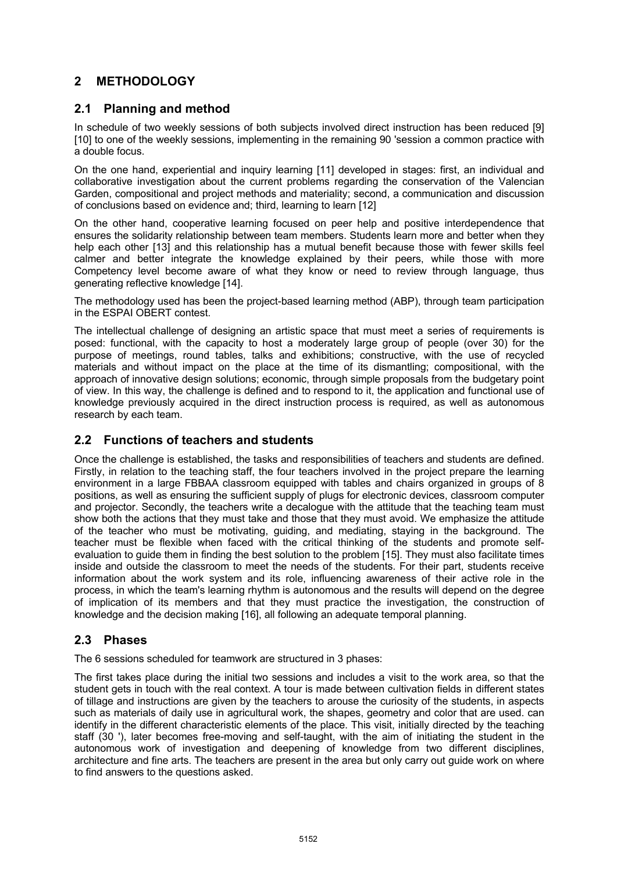# **2 METHODOLOGY**

### **2.1 Planning and method**

In schedule of two weekly sessions of both subjects involved direct instruction has been reduced [9] [10] to one of the weekly sessions, implementing in the remaining 90 'session a common practice with a double focus.

On the one hand, experiential and inquiry learning [11] developed in stages: first, an individual and collaborative investigation about the current problems regarding the conservation of the Valencian Garden, compositional and project methods and materiality; second, a communication and discussion of conclusions based on evidence and; third, learning to learn [12]

On the other hand, cooperative learning focused on peer help and positive interdependence that ensures the solidarity relationship between team members. Students learn more and better when they help each other [13] and this relationship has a mutual benefit because those with fewer skills feel calmer and better integrate the knowledge explained by their peers, while those with more Competency level become aware of what they know or need to review through language, thus generating reflective knowledge [14].

The methodology used has been the project-based learning method (ABP), through team participation in the ESPAI OBERT contest.

The intellectual challenge of designing an artistic space that must meet a series of requirements is posed: functional, with the capacity to host a moderately large group of people (over 30) for the purpose of meetings, round tables, talks and exhibitions; constructive, with the use of recycled materials and without impact on the place at the time of its dismantling; compositional, with the approach of innovative design solutions; economic, through simple proposals from the budgetary point of view. In this way, the challenge is defined and to respond to it, the application and functional use of knowledge previously acquired in the direct instruction process is required, as well as autonomous research by each team.

### **2.2 Functions of teachers and students**

Once the challenge is established, the tasks and responsibilities of teachers and students are defined. Firstly, in relation to the teaching staff, the four teachers involved in the project prepare the learning environment in a large FBBAA classroom equipped with tables and chairs organized in groups of 8 positions, as well as ensuring the sufficient supply of plugs for electronic devices, classroom computer and projector. Secondly, the teachers write a decalogue with the attitude that the teaching team must show both the actions that they must take and those that they must avoid. We emphasize the attitude of the teacher who must be motivating, guiding, and mediating, staying in the background. The teacher must be flexible when faced with the critical thinking of the students and promote selfevaluation to guide them in finding the best solution to the problem [15]. They must also facilitate times inside and outside the classroom to meet the needs of the students. For their part, students receive information about the work system and its role, influencing awareness of their active role in the process, in which the team's learning rhythm is autonomous and the results will depend on the degree of implication of its members and that they must practice the investigation, the construction of knowledge and the decision making [16], all following an adequate temporal planning.

### **2.3 Phases**

The 6 sessions scheduled for teamwork are structured in 3 phases:

The first takes place during the initial two sessions and includes a visit to the work area, so that the student gets in touch with the real context. A tour is made between cultivation fields in different states of tillage and instructions are given by the teachers to arouse the curiosity of the students, in aspects such as materials of daily use in agricultural work, the shapes, geometry and color that are used. can identify in the different characteristic elements of the place. This visit, initially directed by the teaching staff (30 '), later becomes free-moving and self-taught, with the aim of initiating the student in the autonomous work of investigation and deepening of knowledge from two different disciplines, architecture and fine arts. The teachers are present in the area but only carry out guide work on where to find answers to the questions asked.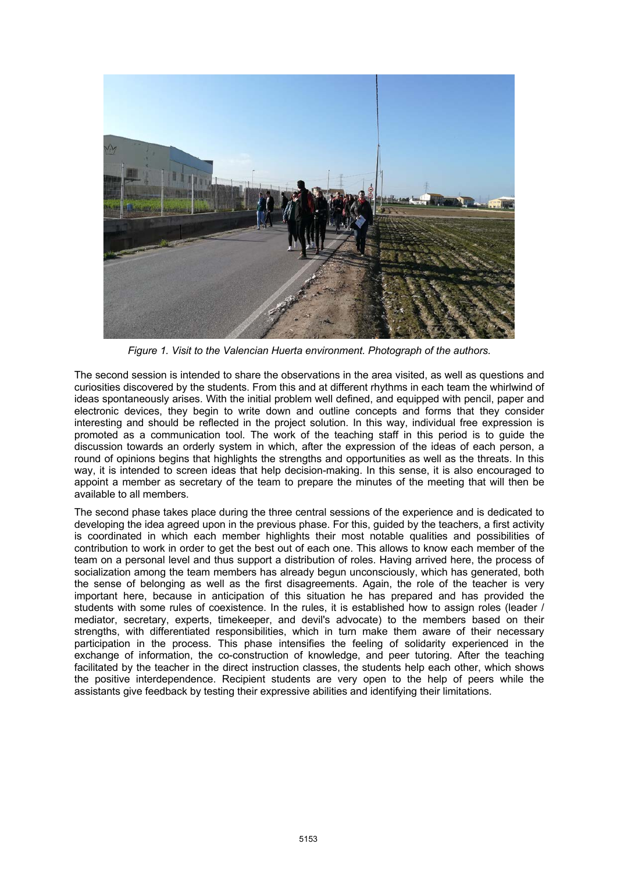

*Figure 1. Visit to the Valencian Huerta environment. Photograph of the authors.*

The second session is intended to share the observations in the area visited, as well as questions and curiosities discovered by the students. From this and at different rhythms in each team the whirlwind of ideas spontaneously arises. With the initial problem well defined, and equipped with pencil, paper and electronic devices, they begin to write down and outline concepts and forms that they consider interesting and should be reflected in the project solution. In this way, individual free expression is promoted as a communication tool. The work of the teaching staff in this period is to guide the discussion towards an orderly system in which, after the expression of the ideas of each person, a round of opinions begins that highlights the strengths and opportunities as well as the threats. In this way, it is intended to screen ideas that help decision-making. In this sense, it is also encouraged to appoint a member as secretary of the team to prepare the minutes of the meeting that will then be available to all members.

The second phase takes place during the three central sessions of the experience and is dedicated to developing the idea agreed upon in the previous phase. For this, guided by the teachers, a first activity is coordinated in which each member highlights their most notable qualities and possibilities of contribution to work in order to get the best out of each one. This allows to know each member of the team on a personal level and thus support a distribution of roles. Having arrived here, the process of socialization among the team members has already begun unconsciously, which has generated, both the sense of belonging as well as the first disagreements. Again, the role of the teacher is very important here, because in anticipation of this situation he has prepared and has provided the students with some rules of coexistence. In the rules, it is established how to assign roles (leader / mediator, secretary, experts, timekeeper, and devil's advocate) to the members based on their strengths, with differentiated responsibilities, which in turn make them aware of their necessary participation in the process. This phase intensifies the feeling of solidarity experienced in the exchange of information, the co-construction of knowledge, and peer tutoring. After the teaching facilitated by the teacher in the direct instruction classes, the students help each other, which shows the positive interdependence. Recipient students are very open to the help of peers while the assistants give feedback by testing their expressive abilities and identifying their limitations.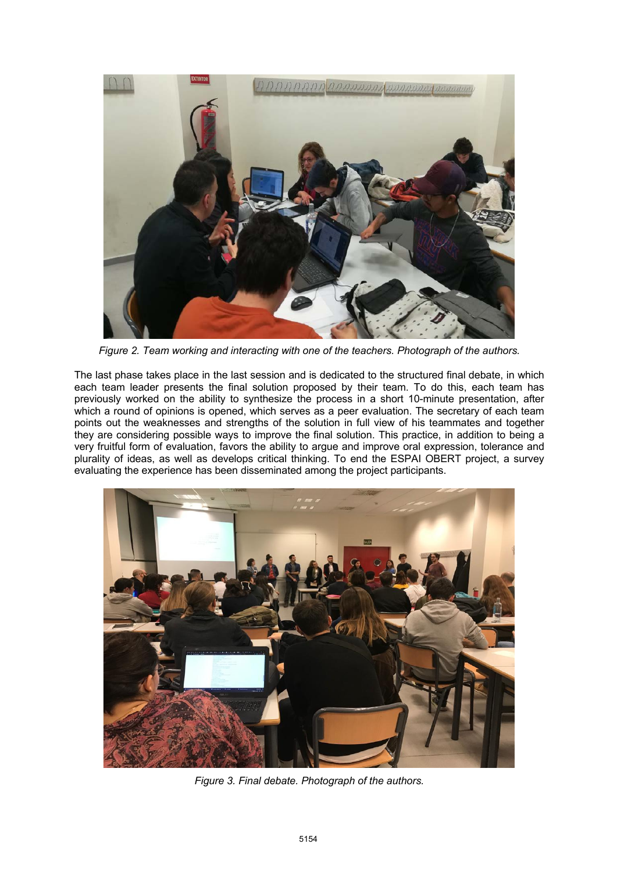

*Figure 2. Team working and interacting with one of the teachers. Photograph of the authors.*

The last phase takes place in the last session and is dedicated to the structured final debate, in which each team leader presents the final solution proposed by their team. To do this, each team has previously worked on the ability to synthesize the process in a short 10-minute presentation, after which a round of opinions is opened, which serves as a peer evaluation. The secretary of each team points out the weaknesses and strengths of the solution in full view of his teammates and together they are considering possible ways to improve the final solution. This practice, in addition to being a very fruitful form of evaluation, favors the ability to argue and improve oral expression, tolerance and plurality of ideas, as well as develops critical thinking. To end the ESPAI OBERT project, a survey evaluating the experience has been disseminated among the project participants.



*Figure 3. Final debate. Photograph of the authors.*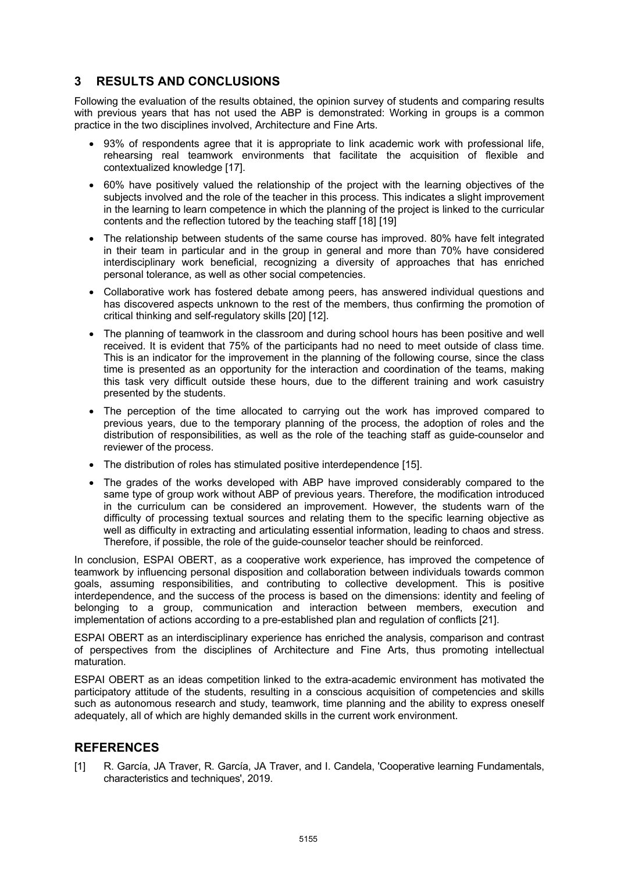## **3 RESULTS AND CONCLUSIONS**

Following the evaluation of the results obtained, the opinion survey of students and comparing results with previous years that has not used the ABP is demonstrated: Working in groups is a common practice in the two disciplines involved, Architecture and Fine Arts.

- 93% of respondents agree that it is appropriate to link academic work with professional life, rehearsing real teamwork environments that facilitate the acquisition of flexible and contextualized knowledge [17].
- 60% have positively valued the relationship of the project with the learning objectives of the subjects involved and the role of the teacher in this process. This indicates a slight improvement in the learning to learn competence in which the planning of the project is linked to the curricular contents and the reflection tutored by the teaching staff [18] [19]
- The relationship between students of the same course has improved. 80% have felt integrated in their team in particular and in the group in general and more than 70% have considered interdisciplinary work beneficial, recognizing a diversity of approaches that has enriched personal tolerance, as well as other social competencies.
- Collaborative work has fostered debate among peers, has answered individual questions and has discovered aspects unknown to the rest of the members, thus confirming the promotion of critical thinking and self-regulatory skills [20] [12].
- The planning of teamwork in the classroom and during school hours has been positive and well received. It is evident that 75% of the participants had no need to meet outside of class time. This is an indicator for the improvement in the planning of the following course, since the class time is presented as an opportunity for the interaction and coordination of the teams, making this task very difficult outside these hours, due to the different training and work casuistry presented by the students.
- The perception of the time allocated to carrying out the work has improved compared to previous years, due to the temporary planning of the process, the adoption of roles and the distribution of responsibilities, as well as the role of the teaching staff as guide-counselor and reviewer of the process.
- The distribution of roles has stimulated positive interdependence [15].
- The grades of the works developed with ABP have improved considerably compared to the same type of group work without ABP of previous years. Therefore, the modification introduced in the curriculum can be considered an improvement. However, the students warn of the difficulty of processing textual sources and relating them to the specific learning objective as well as difficulty in extracting and articulating essential information, leading to chaos and stress. Therefore, if possible, the role of the guide-counselor teacher should be reinforced.

In conclusion, ESPAI OBERT, as a cooperative work experience, has improved the competence of teamwork by influencing personal disposition and collaboration between individuals towards common goals, assuming responsibilities, and contributing to collective development. This is positive interdependence, and the success of the process is based on the dimensions: identity and feeling of belonging to a group, communication and interaction between members, execution and implementation of actions according to a pre-established plan and regulation of conflicts [21].

ESPAI OBERT as an interdisciplinary experience has enriched the analysis, comparison and contrast of perspectives from the disciplines of Architecture and Fine Arts, thus promoting intellectual maturation.

ESPAI OBERT as an ideas competition linked to the extra-academic environment has motivated the participatory attitude of the students, resulting in a conscious acquisition of competencies and skills such as autonomous research and study, teamwork, time planning and the ability to express oneself adequately, all of which are highly demanded skills in the current work environment.

### **REFERENCES**

[1] R. García, JA Traver, R. García, JA Traver, and I. Candela, 'Cooperative learning Fundamentals, characteristics and techniques', 2019.